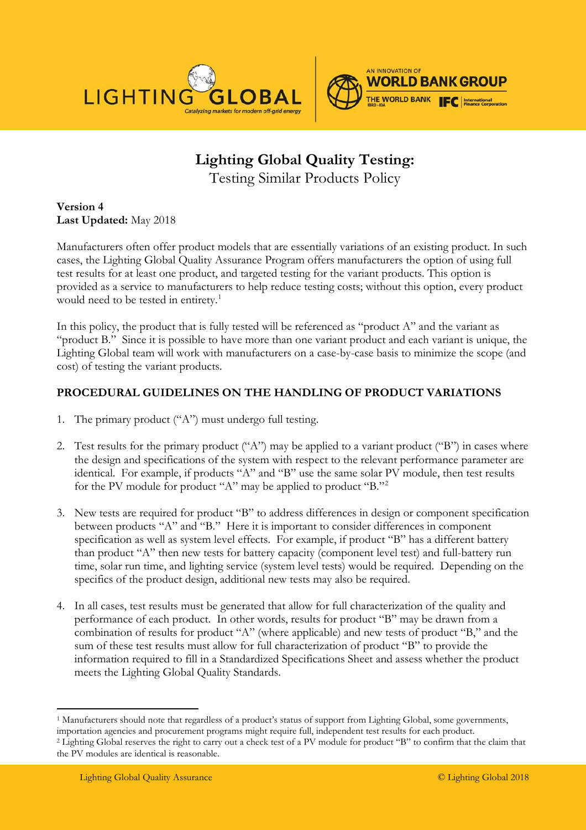

## **Lighting Global Quality Testing:**  Testing Similar Products Policy

**Version 4 Last Updated:** May 2018

Manufacturers often offer product models that are essentially variations of an existing product. In such cases, the Lighting Global Quality Assurance Program offers manufacturers the option of using full test results for at least one product, and targeted testing for the variant products. This option is provided as a service to manufacturers to help reduce testing costs; without this option, every product would need to be tested in entirety.<sup>[1](#page-0-0)</sup>

In this policy, the product that is fully tested will be referenced as "product A" and the variant as "product B."Since it is possible to have more than one variant product and each variant is unique, the Lighting Global team will work with manufacturers on a case-by-case basis to minimize the scope (and cost) of testing the variant products.

## **PROCEDURAL GUIDELINES ON THE HANDLING OF PRODUCT VARIATIONS**

- 1. The primary product ("A") must undergo full testing.
- 2. Test results for the primary product ("A") may be applied to a variant product ("B") in cases where the design and specifications of the system with respect to the relevant performance parameter are identical. For example, if products "A" and "B" use the same solar PV module, then test results for the PV module for product "A" may be applied to product "B."[2](#page-0-1)
- 3. New tests are required for product "B" to address differences in design or component specification between products "A" and "B." Here it is important to consider differences in component specification as well as system level effects. For example, if product "B" has a different battery than product "A" then new tests for battery capacity (component level test) and full-battery run time, solar run time, and lighting service (system level tests) would be required. Depending on the specifics of the product design, additional new tests may also be required.
- 4. In all cases, test results must be generated that allow for full characterization of the quality and performance of each product. In other words, results for product "B" may be drawn from a combination of results for product "A" (where applicable) and new tests of product "B," and the sum of these test results must allow for full characterization of product "B" to provide the information required to fill in a Standardized Specifications Sheet and assess whether the product meets the Lighting Global Quality Standards.

<span id="page-0-0"></span><sup>&</sup>lt;sup>1</sup> Manufacturers should note that regardless of a product's status of support from Lighting Global, some governments, importation agencies and procurement programs might require full, independent test results for each product.

<span id="page-0-1"></span><sup>&</sup>lt;sup>2</sup> Lighting Global reserves the right to carry out a check test of a PV module for product "B" to confirm that the claim that the PV modules are identical is reasonable.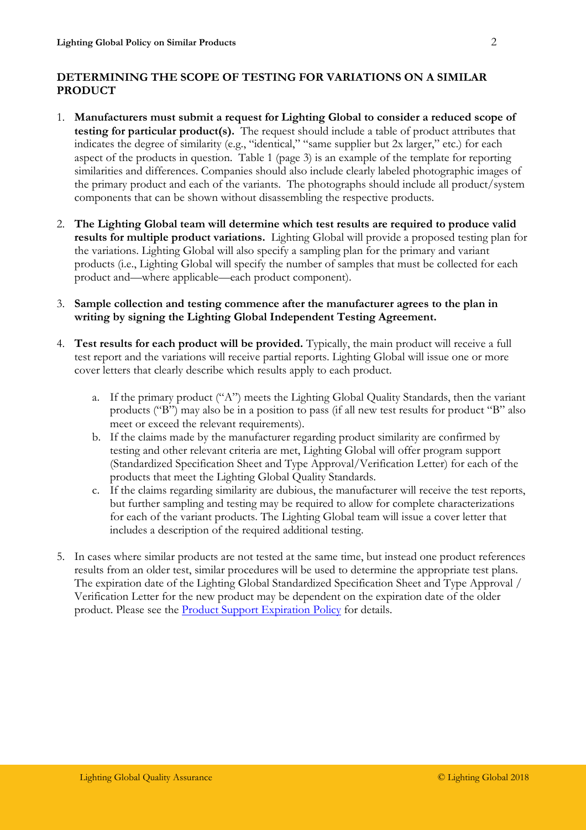## **DETERMINING THE SCOPE OF TESTING FOR VARIATIONS ON A SIMILAR PRODUCT**

- 1. **Manufacturers must submit a request for Lighting Global to consider a reduced scope of testing for particular product(s).** The request should include a table of product attributes that indicates the degree of similarity (e.g., "identical," "same supplier but 2x larger," etc.) for each aspect of the products in question. Table 1 (page 3) is an example of the template for reporting similarities and differences. Companies should also include clearly labeled photographic images of the primary product and each of the variants. The photographs should include all product/system components that can be shown without disassembling the respective products.
- 2. **The Lighting Global team will determine which test results are required to produce valid results for multiple product variations.** Lighting Global will provide a proposed testing plan for the variations. Lighting Global will also specify a sampling plan for the primary and variant products (i.e., Lighting Global will specify the number of samples that must be collected for each product and—where applicable—each product component).
- 3. **Sample collection and testing commence after the manufacturer agrees to the plan in writing by signing the Lighting Global Independent Testing Agreement.**
- 4. **Test results for each product will be provided.** Typically, the main product will receive a full test report and the variations will receive partial reports. Lighting Global will issue one or more cover letters that clearly describe which results apply to each product.
	- a. If the primary product ("A") meets the Lighting Global Quality Standards, then the variant products ("B") may also be in a position to pass (if all new test results for product "B" also meet or exceed the relevant requirements).
	- b. If the claims made by the manufacturer regarding product similarity are confirmed by testing and other relevant criteria are met, Lighting Global will offer program support (Standardized Specification Sheet and Type Approval/Verification Letter) for each of the products that meet the Lighting Global Quality Standards.
	- c. If the claims regarding similarity are dubious, the manufacturer will receive the test reports, but further sampling and testing may be required to allow for complete characterizations for each of the variant products. The Lighting Global team will issue a cover letter that includes a description of the required additional testing.
- 5. In cases where similar products are not tested at the same time, but instead one product references results from an older test, similar procedures will be used to determine the appropriate test plans. The expiration date of the Lighting Global Standardized Specification Sheet and Type Approval / Verification Letter for the new product may be dependent on the expiration date of the older product. Please see the [Product Support Expiration Policy](https://www.lightingglobal.org/resource/product-support-expiration-policy/) for details.